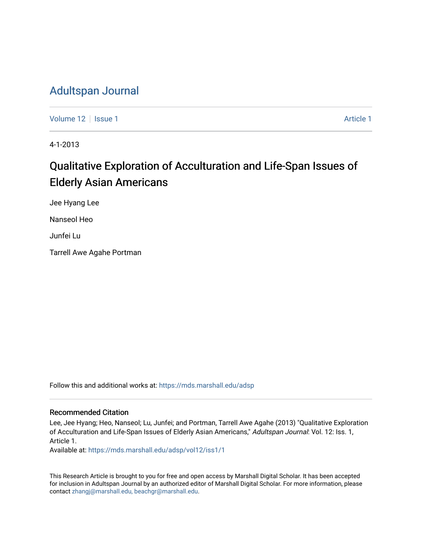# [Adultspan Journal](https://mds.marshall.edu/adsp)

[Volume 12](https://mds.marshall.edu/adsp/vol12) | [Issue 1](https://mds.marshall.edu/adsp/vol12/iss1) [Article 1](https://mds.marshall.edu/adsp/vol12/iss1/1) Article 1 Article 1 Article 1 Article 1 Article 1 Article 1 Article 1 Article 1

4-1-2013

# Qualitative Exploration of Acculturation and Life-Span Issues of Elderly Asian Americans

Jee Hyang Lee

Nanseol Heo

Junfei Lu

Tarrell Awe Agahe Portman

Follow this and additional works at: [https://mds.marshall.edu/adsp](https://mds.marshall.edu/adsp?utm_source=mds.marshall.edu%2Fadsp%2Fvol12%2Fiss1%2F1&utm_medium=PDF&utm_campaign=PDFCoverPages) 

## Recommended Citation

Lee, Jee Hyang; Heo, Nanseol; Lu, Junfei; and Portman, Tarrell Awe Agahe (2013) "Qualitative Exploration of Acculturation and Life-Span Issues of Elderly Asian Americans," Adultspan Journal: Vol. 12: Iss. 1, Article 1.

Available at: [https://mds.marshall.edu/adsp/vol12/iss1/1](https://mds.marshall.edu/adsp/vol12/iss1/1?utm_source=mds.marshall.edu%2Fadsp%2Fvol12%2Fiss1%2F1&utm_medium=PDF&utm_campaign=PDFCoverPages) 

This Research Article is brought to you for free and open access by Marshall Digital Scholar. It has been accepted for inclusion in Adultspan Journal by an authorized editor of Marshall Digital Scholar. For more information, please contact [zhangj@marshall.edu, beachgr@marshall.edu](mailto:zhangj@marshall.edu,%20beachgr@marshall.edu).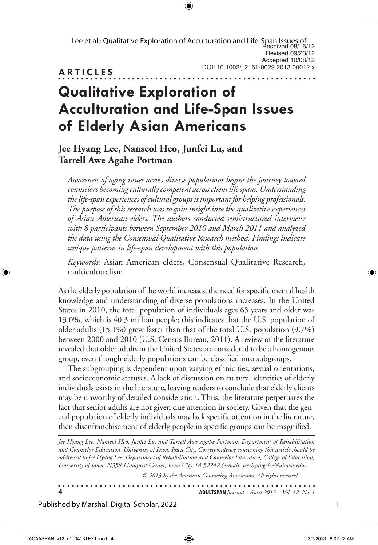# . . . . . . . . . . . . . . **Qualitative Exploration of Acculturation and Life-Span Issues of Elderly Asian Americans**

# **Jee Hyang Lee, Nanseol Heo, Junfei Lu, and Tarrell Awe Agahe Portman**

*Awareness of aging issues across diverse populations begins the journey toward counselors becoming culturally competent across client life spans. Understanding the life-span experiences of cultural groups is important for helping professionals. The purpose of this research was to gain insight into the qualitative experiences of Asian American elders. The authors conducted semistructured interviews with 8 participants between September 2010 and March 2011 and analyzed the data using the Consensual Qualitative Research method. Findings indicate unique patterns in life-span development with this population.* 

*Keywords:* Asian American elders, Consensual Qualitative Research, multiculturalism

As the elderly population of the world increases, the need for specific mental health knowledge and understanding of diverse populations increases. In the United States in 2010, the total population of individuals ages 65 years and older was 13.0%, which is 40.3 million people; this indicates that the U.S. population of older adults (15.1%) grew faster than that of the total U.S. population (9.7%) between 2000 and 2010 (U.S. Census Bureau, 2011). A review of the literature revealed that older adults in the United States are considered to be a homogenous group, even though elderly populations can be classified into subgroups.

The subgrouping is dependent upon varying ethnicities, sexual orientations, and socioeconomic statuses. A lack of discussion on cultural identities of elderly individuals exists in the literature, leaving readers to conclude that elderly clients may be unworthy of detailed consideration. Thus, the literature perpetuates the fact that senior adults are not given due attention in society. Given that the general population of elderly individuals may lack specific attention in the literature, then disenfranchisement of elderly people in specific groups can be magnified.

*Jee Hyang Lee, Nanseol Heo, Junfei Lu, and Tarrell Awe Agahe Portman, Department of Rehabilitation and Counselor Education, University of Iowa, Iowa City. Correspondence concerning this article should be addressed to Jee Hyang Lee, Department of Rehabilitation and Counselor Education, College of Education, University of Iowa, N358 Lindquist Center, Iowa City, IA 52242 (e-mail: jee-hyang-lee@uiowa.edu).* 

*© 2013 by the American Counseling Association. All rights reserved.*

**4 ADULTSPAN***Journal April 2013 Vol. 12 No. 1*

Published by Marshall Digital Scholar, 2022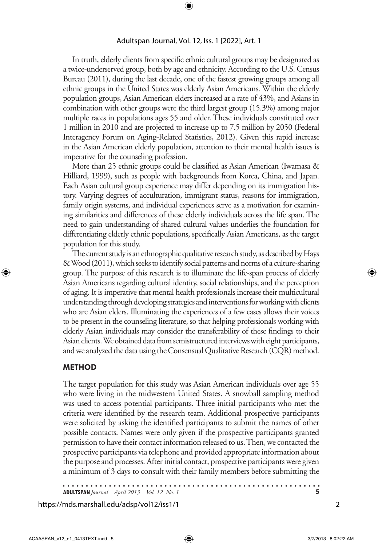In truth, elderly clients from specific ethnic cultural groups may be designated as a twice-underserved group, both by age and ethnicity. According to the U.S. Census Bureau (2011), during the last decade, one of the fastest growing groups among all ethnic groups in the United States was elderly Asian Americans. Within the elderly population groups, Asian American elders increased at a rate of 43%, and Asians in combination with other groups were the third largest group (15.3%) among major multiple races in populations ages 55 and older. These individuals constituted over 1 million in 2010 and are projected to increase up to 7.5 million by 2050 (Federal Interagency Forum on Aging-Related Statistics, 2012). Given this rapid increase in the Asian American elderly population, attention to their mental health issues is imperative for the counseling profession.

More than 25 ethnic groups could be classified as Asian American (Iwamasa & Hilliard, 1999), such as people with backgrounds from Korea, China, and Japan. Each Asian cultural group experience may differ depending on its immigration history. Varying degrees of acculturation, immigrant status, reasons for immigration, family origin systems, and individual experiences serve as a motivation for examining similarities and differences of these elderly individuals across the life span. The need to gain understanding of shared cultural values underlies the foundation for differentiating elderly ethnic populations, specifically Asian Americans, as the target population for this study.

The current study is an ethnographic qualitative research study, as described by Hays & Wood (2011), which seeks to identify social patterns and norms of a culture-sharing group. The purpose of this research is to illuminate the life-span process of elderly Asian Americans regarding cultural identity, social relationships, and the perception of aging. It is imperative that mental health professionals increase their multicultural understanding through developing strategies and interventions for working with clients who are Asian elders. Illuminating the experiences of a few cases allows their voices to be present in the counseling literature, so that helping professionals working with elderly Asian individuals may consider the transferability of these findings to their Asian clients. We obtained data from semistructured interviews with eight participants, and we analyzed the data using the Consensual Qualitative Research (CQR) method.

#### **Method**

The target population for this study was Asian American individuals over age 55 who were living in the midwestern United States. A snowball sampling method was used to access potential participants. Three initial participants who met the criteria were identified by the research team. Additional prospective participants were solicited by asking the identified participants to submit the names of other possible contacts. Names were only given if the prospective participants granted permission to have their contact information released to us. Then, we contacted the prospective participants via telephone and provided appropriate information about the purpose and processes. After initial contact, prospective participants were given a minimum of 3 days to consult with their family members before submitting the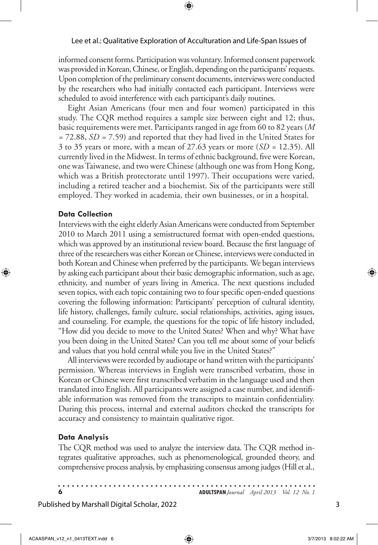informed consent forms. Participation was voluntary. Informed consent paperwork was provided in Korean, Chinese, or English, depending on the participants' requests. Upon completion of the preliminary consent documents, interviews were conducted by the researchers who had initially contacted each participant. Interviews were scheduled to avoid interference with each participant's daily routines.

Eight Asian Americans (four men and four women) participated in this study. The CQR method requires a sample size between eight and 12; thus, basic requirements were met. Participants ranged in age from 60 to 82 years (*M =* 72.88, *SD =* 7.59) and reported that they had lived in the United States for 3 to 35 years or more, with a mean of 27.63 years or more (*SD =* 12.35). All currently lived in the Midwest. In terms of ethnic background, five were Korean, one was Taiwanese, and two were Chinese (although one was from Hong Kong, which was a British protectorate until 1997). Their occupations were varied, including a retired teacher and a biochemist. Six of the participants were still employed. They worked in academia, their own businesses, or in a hospital.

## **Data Collection**

Interviews with the eight elderly Asian Americans were conducted from September 2010 to March 2011 using a semistructured format with open-ended questions, which was approved by an institutional review board. Because the first language of three of the researchers was either Korean or Chinese, interviews were conducted in both Korean and Chinese when preferred by the participants. We began interviews by asking each participant about their basic demographic information, such as age, ethnicity, and number of years living in America. The next questions included seven topics, with each topic containing two to four specific open-ended questions covering the following information: Participants' perception of cultural identity, life history, challenges, family culture, social relationships, activities, aging issues, and counseling. For example, the questions for the topic of life history included, "How did you decide to move to the United States? When and why? What have you been doing in the United States? Can you tell me about some of your beliefs and values that you hold central while you live in the United States?"

All interviews were recorded by audiotape or hand written with the participants' permission. Whereas interviews in English were transcribed verbatim, those in Korean or Chinese were first transcribed verbatim in the language used and then translated into English. All participants were assigned a case number, and identifiable information was removed from the transcripts to maintain confidentiality. During this process, internal and external auditors checked the transcripts for accuracy and consistency to maintain qualitative rigor.

## **Data Analysis**

The CQR method was used to analyze the interview data. The CQR method integrates qualitative approaches, such as phenomenological, grounded theory, and comprehensive process analysis, by emphasizing consensus among judges (Hill et al.,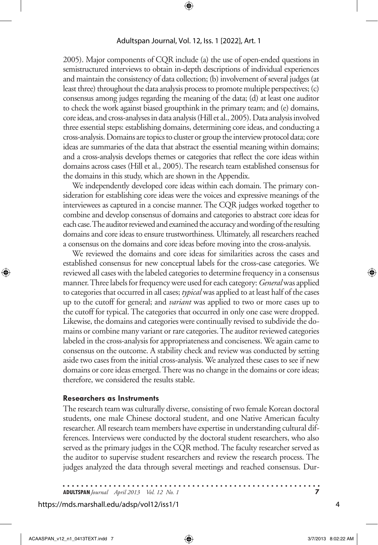2005). Major components of CQR include (a) the use of open-ended questions in semistructured interviews to obtain in-depth descriptions of individual experiences and maintain the consistency of data collection; (b) involvement of several judges (at least three) throughout the data analysis process to promote multiple perspectives; (c) consensus among judges regarding the meaning of the data; (d) at least one auditor to check the work against biased groupthink in the primary team; and (e) domains, core ideas, and cross-analyses in data analysis (Hill et al., 2005). Data analysis involved three essential steps: establishing domains, determining core ideas, and conducting a cross-analysis. Domains are topics to cluster or group the interview protocol data; core ideas are summaries of the data that abstract the essential meaning within domains; and a cross-analysis develops themes or categories that reflect the core ideas within domains across cases (Hill et al., 2005). The research team established consensus for the domains in this study, which are shown in the Appendix.

We independently developed core ideas within each domain. The primary consideration for establishing core ideas were the voices and expressive meanings of the interviewees as captured in a concise manner. The CQR judges worked together to combine and develop consensus of domains and categories to abstract core ideas for each case. The auditor reviewed and examined the accuracy and wording of the resulting domains and core ideas to ensure trustworthiness. Ultimately, all researchers reached a consensus on the domains and core ideas before moving into the cross-analysis.

We reviewed the domains and core ideas for similarities across the cases and established consensus for new conceptual labels for the cross-case categories. We reviewed all cases with the labeled categories to determine frequency in a consensus manner. Three labels for frequency were used for each category: *General* was applied to categories that occurred in all cases; *typical* was applied to at least half of the cases up to the cutoff for general; and *variant* was applied to two or more cases up to the cutoff for typical. The categories that occurred in only one case were dropped. Likewise, the domains and categories were continually revised to subdivide the domains or combine many variant or rare categories. The auditor reviewed categories labeled in the cross-analysis for appropriateness and conciseness. We again came to consensus on the outcome. A stability check and review was conducted by setting aside two cases from the initial cross-analysis. We analyzed these cases to see if new domains or core ideas emerged. There was no change in the domains or core ideas; therefore, we considered the results stable.

## **Researchers as Instruments**

The research team was culturally diverse, consisting of two female Korean doctoral students, one male Chinese doctoral student, and one Native American faculty researcher. All research team members have expertise in understanding cultural differences. Interviews were conducted by the doctoral student researchers, who also served as the primary judges in the CQR method. The faculty researcher served as the auditor to supervise student researchers and review the research process. The judges analyzed the data through several meetings and reached consensus. Dur-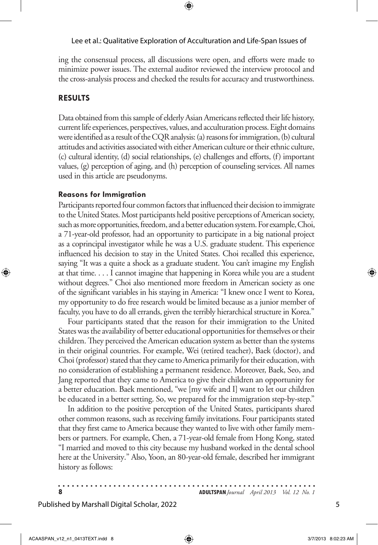ing the consensual process, all discussions were open, and efforts were made to minimize power issues. The external auditor reviewed the interview protocol and the cross-analysis process and checked the results for accuracy and trustworthiness.

### **Results**

Data obtained from this sample of elderly Asian Americans reflected their life history, current life experiences, perspectives, values, and acculturation process. Eight domains were identified as a result of the CQR analysis: (a) reasons for immigration, (b) cultural attitudes and activities associated with either American culture or their ethnic culture, (c) cultural identity, (d) social relationships, (e) challenges and efforts, (f) important values, (g) perception of aging, and (h) perception of counseling services. All names used in this article are pseudonyms.

#### **Reasons for Immigration**

Participants reported four common factors that influenced their decision to immigrate to the United States. Most participants held positive perceptions of American society, such as more opportunities, freedom, and a better education system. For example, Choi, a 71-year-old professor, had an opportunity to participate in a big national project as a coprincipal investigator while he was a U.S. graduate student. This experience influenced his decision to stay in the United States. Choi recalled this experience, saying "It was a quite a shock as a graduate student. You can't imagine my English at that time. . . . I cannot imagine that happening in Korea while you are a student without degrees." Choi also mentioned more freedom in American society as one of the significant variables in his staying in America: "I knew once I went to Korea, my opportunity to do free research would be limited because as a junior member of faculty, you have to do all errands, given the terribly hierarchical structure in Korea."

Four participants stated that the reason for their immigration to the United States was the availability of better educational opportunities for themselves or their children. They perceived the American education system as better than the systems in their original countries. For example, Wei (retired teacher), Baek (doctor), and Choi (professor) stated that they came to America primarily for their education, with no consideration of establishing a permanent residence. Moreover, Baek, Seo, and Jang reported that they came to America to give their children an opportunity for a better education. Baek mentioned, "we [my wife and I] want to let our children be educated in a better setting. So, we prepared for the immigration step-by-step."

In addition to the positive perception of the United States, participants shared other common reasons, such as receiving family invitations. Four participants stated that they first came to America because they wanted to live with other family members or partners. For example, Chen, a 71-year-old female from Hong Kong, stated "I married and moved to this city because my husband worked in the dental school here at the University." Also, Yoon, an 80-year-old female, described her immigrant history as follows:

| 8 | <b>ADULTSPAN</b> Journal April 2013 Vol. 12 No. 1 |  |
|---|---------------------------------------------------|--|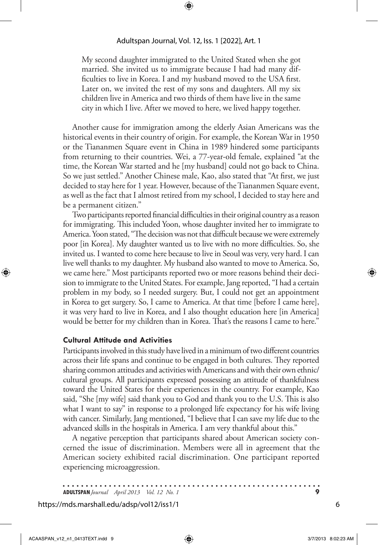My second daughter immigrated to the United Stated when she got married. She invited us to immigrate because I had had many difficulties to live in Korea. I and my husband moved to the USA first. Later on, we invited the rest of my sons and daughters. All my six children live in America and two thirds of them have live in the same city in which I live. After we moved to here, we lived happy together.

Another cause for immigration among the elderly Asian Americans was the historical events in their country of origin. For example, the Korean War in 1950 or the Tiananmen Square event in China in 1989 hindered some participants from returning to their countries. Wei, a 77-year-old female, explained "at the time, the Korean War started and he [my husband] could not go back to China. So we just settled." Another Chinese male, Kao, also stated that "At first, we just decided to stay here for 1 year. However, because of the Tiananmen Square event, as well as the fact that I almost retired from my school, I decided to stay here and be a permanent citizen."

Two participants reported financial difficulties in their original country as a reason for immigrating. This included Yoon, whose daughter invited her to immigrate to America. Yoon stated, "The decision was not that difficult because we were extremely poor [in Korea]. My daughter wanted us to live with no more difficulties. So, she invited us. I wanted to come here because to live in Seoul was very, very hard. I can live well thanks to my daughter. My husband also wanted to move to America. So, we came here." Most participants reported two or more reasons behind their decision to immigrate to the United States. For example, Jang reported, "I had a certain problem in my body, so I needed surgery. But, I could not get an appointment in Korea to get surgery. So, I came to America. At that time [before I came here], it was very hard to live in Korea, and I also thought education here [in America] would be better for my children than in Korea. That's the reasons I came to here."

### **Cultural Attitude and Activities**

Participants involved in this study have lived in a minimum of two different countries across their life spans and continue to be engaged in both cultures. They reported sharing common attitudes and activities with Americans and with their own ethnic/ cultural groups. All participants expressed possessing an attitude of thankfulness toward the United States for their experiences in the country. For example, Kao said, "She [my wife] said thank you to God and thank you to the U.S. This is also what I want to say" in response to a prolonged life expectancy for his wife living with cancer. Similarly, Jang mentioned, "I believe that I can save my life due to the advanced skills in the hospitals in America. I am very thankful about this."

A negative perception that participants shared about American society concerned the issue of discrimination. Members were all in agreement that the American society exhibited racial discrimination. One participant reported experiencing microaggression.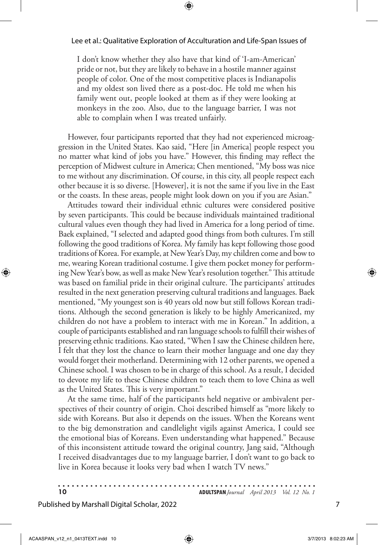I don't know whether they also have that kind of 'I-am-American' pride or not, but they are likely to behave in a hostile manner against people of color. One of the most competitive places is Indianapolis and my oldest son lived there as a post-doc. He told me when his family went out, people looked at them as if they were looking at monkeys in the zoo. Also, due to the language barrier, I was not able to complain when I was treated unfairly.

However, four participants reported that they had not experienced microaggression in the United States. Kao said, "Here [in America] people respect you no matter what kind of jobs you have." However, this finding may reflect the perception of Midwest culture in America; Chen mentioned, "My boss was nice to me without any discrimination. Of course, in this city, all people respect each other because it is so diverse. [However], it is not the same if you live in the East or the coasts. In these areas, people might look down on you if you are Asian."

Attitudes toward their individual ethnic cultures were considered positive by seven participants. This could be because individuals maintained traditional cultural values even though they had lived in America for a long period of time. Baek explained, "I selected and adapted good things from both cultures. I'm still following the good traditions of Korea. My family has kept following those good traditions of Korea. For example, at New Year's Day,my children come and bow to me, wearing Korean traditional costume. I give them pocket money for performing New Year's bow, as well as make New Year's resolution together." This attitude was based on familial pride in their original culture. The participants' attitudes resulted in the next generation preserving cultural traditions and languages. Baek mentioned, "My youngest son is 40 years old now but still follows Korean traditions. Although the second generation is likely to be highly Americanized, my children do not have a problem to interact with me in Korean." In addition, a couple of participants established and ran language schools to fulfill their wishes of preserving ethnic traditions. Kao stated, "When I saw the Chinese children here, I felt that they lost the chance to learn their mother language and one day they would forget their motherland. Determining with 12 other parents, we opened a Chinese school. I was chosen to be in charge of this school. As a result, I decided to devote my life to these Chinese children to teach them to love China as well as the United States. This is very important."

At the same time, half of the participants held negative or ambivalent perspectives of their country of origin. Choi described himself as "more likely to side with Koreans. But also it depends on the issues. When the Koreans went to the big demonstration and candlelight vigils against America, I could see the emotional bias of Koreans. Even understanding what happened." Because of this inconsistent attitude toward the original country, Jang said, "Although I received disadvantages due to my language barrier, I don't want to go back to live in Korea because it looks very bad when I watch TV news."

| 10 |  |  |  |  |  |  |  |  |  |  |  |  |  |  |  |  |  |  |  |  | <b>ADULTSPAN</b> Journal April 2013 Vol. 12 No. 1 |  |  |  |
|----|--|--|--|--|--|--|--|--|--|--|--|--|--|--|--|--|--|--|--|--|---------------------------------------------------|--|--|--|

#### Published by Marshall Digital Scholar, 2022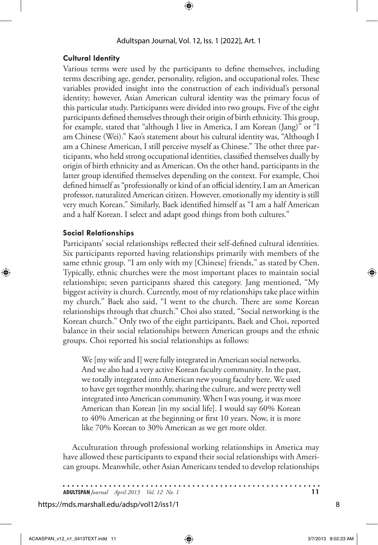# **Cultural Identity**

Various terms were used by the participants to define themselves, including terms describing age, gender, personality, religion, and occupational roles. These variables provided insight into the construction of each individual's personal identity; however, Asian American cultural identity was the primary focus of this particular study. Participants were divided into two groups. Five of the eight participants defined themselves through their origin of birth ethnicity. This group, for example, stated that "although I live in America, I am Korean (Jang)" or "I am Chinese (Wei)." Kao's statement about his cultural identity was, "Although I am a Chinese American, I still perceive myself as Chinese." The other three participants, who held strong occupational identities, classified themselves dually by origin of birth ethnicity and as American. On the other hand, participants in the latter group identified themselves depending on the context. For example, Choi defined himself as "professionally or kind of an official identity, I am an American professor, naturalized American citizen. However, emotionally my identity is still very much Korean." Similarly, Baek identified himself as "I am a half American and a half Korean. I select and adapt good things from both cultures."

# **Social Relationships**

Participants' social relationships reflected their self-defined cultural identities. Six participants reported having relationships primarily with members of the same ethnic group. "I am only with my [Chinese] friends," as stated by Chen. Typically, ethnic churches were the most important places to maintain social relationships; seven participants shared this category. Jang mentioned, "My biggest activity is church. Currently, most of my relationships take place within my church." Baek also said, "I went to the church. There are some Korean relationships through that church." Choi also stated, "Social networking is the Korean church." Only two of the eight participants, Baek and Choi, reported balance in their social relationships between American groups and the ethnic groups. Choi reported his social relationships as follows:

We [my wife and I] were fully integrated in American social networks. And we also had a very active Korean faculty community. In the past, we totally integrated into American new young faculty here. We used to have get together monthly, sharing the culture, and were pretty well integrated into American community. When I was young, it was more American than Korean [in my social life]. I would say 60% Korean to 40% American at the beginning or first 10 years. Now, it is more like 70% Korean to 30% American as we get more older.

Acculturation through professional working relationships in America may have allowed these participants to expand their social relationships with American groups. Meanwhile, other Asian Americans tended to develop relationships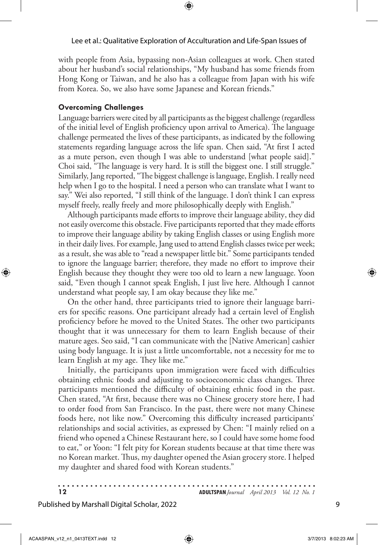with people from Asia, bypassing non-Asian colleagues at work. Chen stated about her husband's social relationships, "My husband has some friends from Hong Kong or Taiwan, and he also has a colleague from Japan with his wife from Korea. So, we also have some Japanese and Korean friends."

## **Overcoming Challenges**

Language barriers were cited by all participants as the biggest challenge (regardless of the initial level of English proficiency upon arrival to America). The language challenge permeated the lives of these participants, as indicated by the following statements regarding language across the life span. Chen said, "At first I acted as a mute person, even though I was able to understand [what people said]." Choi said, "The language is very hard. It is still the biggest one. I still struggle." Similarly, Jang reported, "The biggest challenge is language, English. I really need help when I go to the hospital. I need a person who can translate what I want to say." Wei also reported, "I still think of the language. I don't think I can express myself freely, really freely and more philosophically deeply with English."

Although participants made efforts to improve their language ability, they did not easily overcome this obstacle. Five participants reported that they made efforts to improve their language ability by taking English classes or using English more in their daily lives. For example, Jang used to attend English classes twice per week; as a result, she was able to "read a newspaper little bit." Some participants tended to ignore the language barrier; therefore, they made no effort to improve their English because they thought they were too old to learn a new language. Yoon said, "Even though I cannot speak English, I just live here. Although I cannot understand what people say, I am okay because they like me."

On the other hand, three participants tried to ignore their language barriers for specific reasons. One participant already had a certain level of English proficiency before he moved to the United States. The other two participants thought that it was unnecessary for them to learn English because of their mature ages. Seo said, "I can communicate with the [Native American] cashier using body language. It is just a little uncomfortable, not a necessity for me to learn English at my age. They like me."

Initially, the participants upon immigration were faced with difficulties obtaining ethnic foods and adjusting to socioeconomic class changes. Three participants mentioned the difficulty of obtaining ethnic food in the past. Chen stated, "At first, because there was no Chinese grocery store here, I had to order food from San Francisco. In the past, there were not many Chinese foods here, not like now." Overcoming this difficulty increased participants' relationships and social activities, as expressed by Chen: "I mainly relied on a friend who opened a Chinese Restaurant here, so I could have some home food to eat," or Yoon: "I felt pity for Korean students because at that time there was no Korean market. Thus, my daughter opened the Asian grocery store. I helped my daughter and shared food with Korean students."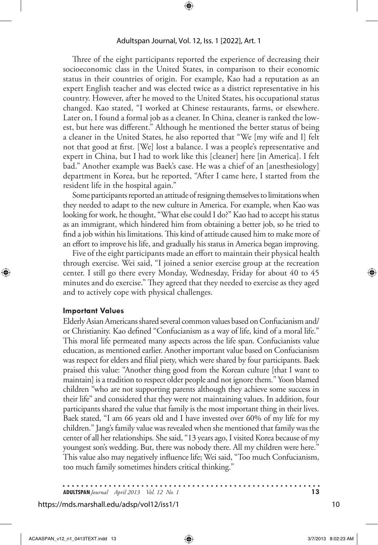Three of the eight participants reported the experience of decreasing their socioeconomic class in the United States, in comparison to their economic status in their countries of origin. For example, Kao had a reputation as an expert English teacher and was elected twice as a district representative in his country. However, after he moved to the United States, his occupational status changed. Kao stated, "I worked at Chinese restaurants, farms, or elsewhere. Later on, I found a formal job as a cleaner. In China, cleaner is ranked the lowest, but here was different." Although he mentioned the better status of being a cleaner in the United States, he also reported that "We [my wife and I] felt not that good at first. [We] lost a balance. I was a people's representative and expert in China, but I had to work like this [cleaner] here [in America]. I felt bad." Another example was Baek's case. He was a chief of an [anesthesiology] department in Korea, but he reported, "After I came here, I started from the resident life in the hospital again."

Some participants reported an attitude of resigning themselves to limitations when they needed to adapt to the new culture in America. For example, when Kao was looking for work, he thought, "What else could I do?" Kao had to accept his status as an immigrant, which hindered him from obtaining a better job, so he tried to find a job within his limitations. This kind of attitude caused him to make more of an effort to improve his life, and gradually his status in America began improving.

Five of the eight participants made an effort to maintain their physical health through exercise. Wei said, "I joined a senior exercise group at the recreation center. I still go there every Monday, Wednesday, Friday for about 40 to 45 minutes and do exercise." They agreed that they needed to exercise as they aged and to actively cope with physical challenges.

#### **Important Values**

Elderly Asian Americans shared several common values based on Confucianism and/ or Christianity. Kao defined "Confucianism as a way of life, kind of a moral life." This moral life permeated many aspects across the life span. Confucianists value education, as mentioned earlier. Another important value based on Confucianism was respect for elders and filial piety, which were shared by four participants. Baek praised this value: "Another thing good from the Korean culture [that I want to maintain] is a tradition to respect older people and not ignore them." Yoon blamed children "who are not supporting parents although they achieve some success in their life" and considered that they were not maintaining values. In addition, four participants shared the value that family is the most important thing in their lives. Baek stated, "I am 66 years old and I have invested over 60% of my life for my children." Jang's family value was revealed when she mentioned that family was the center of all her relationships. She said, "13 years ago, I visited Korea because of my youngest son's wedding. But, there was nobody there. All my children were here." This value also may negatively influence life; Wei said, "Too much Confucianism, too much family sometimes hinders critical thinking."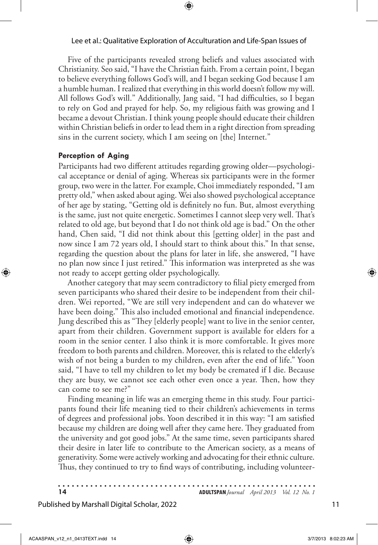Five of the participants revealed strong beliefs and values associated with Christianity. Seo said, "I have the Christian faith. From a certain point, I began to believe everything follows God's will, and I began seeking God because I am a humble human. I realized that everything in this world doesn't follow my will. All follows God's will." Additionally, Jang said, "I had difficulties, so I began to rely on God and prayed for help. So, my religious faith was growing and I became a devout Christian. I think young people should educate their children within Christian beliefs in order to lead them in a right direction from spreading sins in the current society, which I am seeing on [the] Internet."

#### **Perception of Aging**

Participants had two different attitudes regarding growing older—psychological acceptance or denial of aging. Whereas six participants were in the former group, two were in the latter. For example, Choi immediately responded, "I am pretty old," when asked about aging. Wei also showed psychological acceptance of her age by stating, "Getting old is definitely no fun. But, almost everything is the same, just not quite energetic. Sometimes I cannot sleep very well. That's related to old age, but beyond that I do not think old age is bad." On the other hand, Chen said, "I did not think about this [getting older] in the past and now since I am 72 years old, I should start to think about this." In that sense, regarding the question about the plans for later in life, she answered, "I have no plan now since I just retired." This information was interpreted as she was not ready to accept getting older psychologically.

Another category that may seem contradictory to filial piety emerged from seven participants who shared their desire to be independent from their children. Wei reported, "We are still very independent and can do whatever we have been doing." This also included emotional and financial independence. Jung described this as "They [elderly people] want to live in the senior center, apart from their children. Government support is available for elders for a room in the senior center. I also think it is more comfortable. It gives more freedom to both parents and children. Moreover, this is related to the elderly's wish of not being a burden to my children, even after the end of life." Yoon said, "I have to tell my children to let my body be cremated if I die. Because they are busy, we cannot see each other even once a year. Then, how they can come to see me?"

Finding meaning in life was an emerging theme in this study. Four participants found their life meaning tied to their children's achievements in terms of degrees and professional jobs. Yoon described it in this way: "I am satisfied because my children are doing well after they came here. They graduated from the university and got good jobs." At the same time, seven participants shared their desire in later life to contribute to the American society, as a means of generativity. Some were actively working and advocating for their ethnic culture. Thus, they continued to try to find ways of contributing, including volunteer-

| 14 |  |  |  |  |  |  |  |  |  |  |  |  |  |  |  |  |  |  |  |  |  |  |  | <b>ADULTSPAN</b> Journal April 2013 Vol. 12 No. 1 |  |
|----|--|--|--|--|--|--|--|--|--|--|--|--|--|--|--|--|--|--|--|--|--|--|--|---------------------------------------------------|--|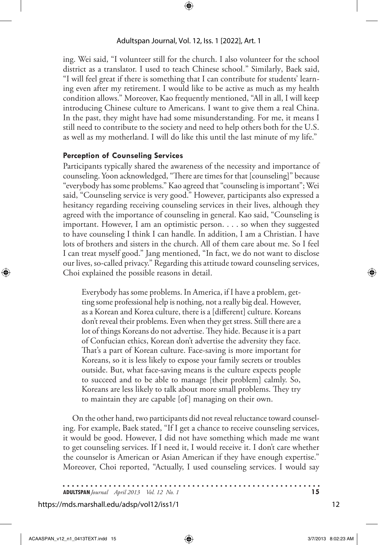ing. Wei said, "I volunteer still for the church. I also volunteer for the school district as a translator. I used to teach Chinese school." Similarly, Baek said, "I will feel great if there is something that I can contribute for students' learning even after my retirement. I would like to be active as much as my health condition allows." Moreover, Kao frequently mentioned, "All in all, I will keep introducing Chinese culture to Americans. I want to give them a real China. In the past, they might have had some misunderstanding. For me, it means I still need to contribute to the society and need to help others both for the U.S. as well as my motherland. I will do like this until the last minute of my life."

# **Perception of Counseling Services**

Participants typically shared the awareness of the necessity and importance of counseling. Yoon acknowledged, "There are times for that [counseling]" because "everybody has some problems." Kao agreed that "counseling is important"; Wei said, "Counseling service is very good." However, participants also expressed a hesitancy regarding receiving counseling services in their lives, although they agreed with the importance of counseling in general. Kao said, "Counseling is important. However, I am an optimistic person. . . . so when they suggested to have counseling I think I can handle. In addition, I am a Christian. I have lots of brothers and sisters in the church. All of them care about me. So I feel I can treat myself good." Jang mentioned, "In fact, we do not want to disclose our lives, so-called privacy." Regarding this attitude toward counseling services, Choi explained the possible reasons in detail.

Everybody has some problems. In America, if I have a problem, getting some professional help is nothing, not a really big deal. However, as a Korean and Korea culture, there is a [different] culture. Koreans don't reveal their problems. Even when they get stress. Still there are a lot of things Koreans do not advertise. They hide. Because it is a part of Confucian ethics, Korean don't advertise the adversity they face. That's a part of Korean culture. Face-saving is more important for Koreans, so it is less likely to expose your family secrets or troubles outside. But, what face-saving means is the culture expects people to succeed and to be able to manage [their problem] calmly. So, Koreans are less likely to talk about more small problems. They try to maintain they are capable [of] managing on their own.

On the other hand, two participants did not reveal reluctance toward counseling. For example, Baek stated, "If I get a chance to receive counseling services, it would be good. However, I did not have something which made me want to get counseling services. If I need it, I would receive it. I don't care whether the counselor is American or Asian American if they have enough expertise." Moreover, Choi reported, "Actually, I used counseling services. I would say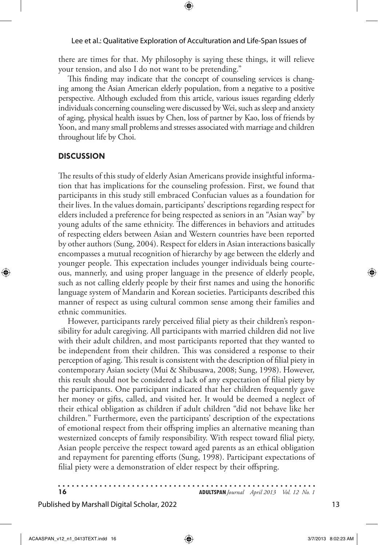there are times for that. My philosophy is saying these things, it will relieve your tension, and also I do not want to be pretending."

This finding may indicate that the concept of counseling services is changing among the Asian American elderly population, from a negative to a positive perspective. Although excluded from this article, various issues regarding elderly individuals concerning counseling were discussed by Wei, such as sleep and anxiety of aging, physical health issues by Chen, loss of partner by Kao, loss of friends by Yoon, and many small problems and stresses associated with marriage and children throughout life by Choi.

# **Discussion**

The results of this study of elderly Asian Americans provide insightful information that has implications for the counseling profession. First, we found that participants in this study still embraced Confucian values as a foundation for their lives. In the values domain, participants' descriptions regarding respect for elders included a preference for being respected as seniors in an "Asian way" by young adults of the same ethnicity. The differences in behaviors and attitudes of respecting elders between Asian and Western countries have been reported by other authors (Sung, 2004). Respect for elders in Asian interactions basically encompasses a mutual recognition of hierarchy by age between the elderly and younger people. This expectation includes younger individuals being courteous, mannerly, and using proper language in the presence of elderly people, such as not calling elderly people by their first names and using the honorific language system of Mandarin and Korean societies. Participants described this manner of respect as using cultural common sense among their families and ethnic communities.

However, participants rarely perceived filial piety as their children's responsibility for adult caregiving. All participants with married children did not live with their adult children, and most participants reported that they wanted to be independent from their children. This was considered a response to their perception of aging. This result is consistent with the description of filial piety in contemporary Asian society (Mui & Shibusawa, 2008; Sung, 1998). However, this result should not be considered a lack of any expectation of filial piety by the participants. One participant indicated that her children frequently gave her money or gifts, called, and visited her. It would be deemed a neglect of their ethical obligation as children if adult children "did not behave like her children." Furthermore, even the participants' description of the expectations of emotional respect from their offspring implies an alternative meaning than westernized concepts of family responsibility. With respect toward filial piety, Asian people perceive the respect toward aged parents as an ethical obligation and repayment for parenting efforts (Sung, 1998). Participant expectations of filial piety were a demonstration of elder respect by their offspring.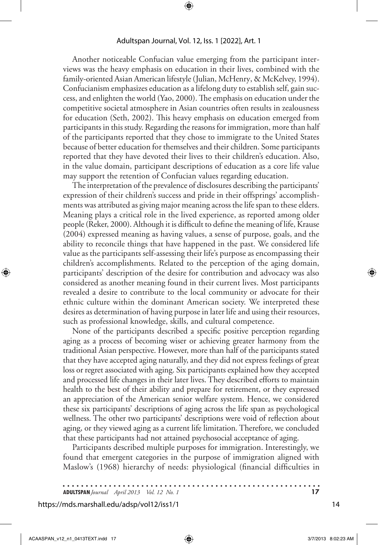Another noticeable Confucian value emerging from the participant interviews was the heavy emphasis on education in their lives, combined with the family-oriented Asian American lifestyle (Julian, McHenry, & McKelvey, 1994). Confucianism emphasizes education as a lifelong duty to establish self, gain success, and enlighten the world (Yao, 2000). The emphasis on education under the competitive societal atmosphere in Asian countries often results in zealousness for education (Seth, 2002). This heavy emphasis on education emerged from participants in this study. Regarding the reasons for immigration, more than half of the participants reported that they chose to immigrate to the United States because of better education for themselves and their children. Some participants reported that they have devoted their lives to their children's education. Also, in the value domain, participant descriptions of education as a core life value may support the retention of Confucian values regarding education.

The interpretation of the prevalence of disclosures describing the participants' expression of their children's success and pride in their offsprings' accomplishments was attributed as giving major meaning across the life span to these elders. Meaning plays a critical role in the lived experience, as reported among older people (Reker, 2000). Although it is difficult to define the meaning of life, Krause (2004) expressed meaning as having values, a sense of purpose, goals, and the ability to reconcile things that have happened in the past. We considered life value as the participants self-assessing their life's purpose as encompassing their children's accomplishments. Related to the perception of the aging domain, participants' description of the desire for contribution and advocacy was also considered as another meaning found in their current lives. Most participants revealed a desire to contribute to the local community or advocate for their ethnic culture within the dominant American society. We interpreted these desires as determination of having purpose in later life and using their resources, such as professional knowledge, skills, and cultural competence.

None of the participants described a specific positive perception regarding aging as a process of becoming wiser or achieving greater harmony from the traditional Asian perspective. However, more than half of the participants stated that they have accepted aging naturally, and they did not express feelings of great loss or regret associated with aging. Six participants explained how they accepted and processed life changes in their later lives. They described efforts to maintain health to the best of their ability and prepare for retirement, or they expressed an appreciation of the American senior welfare system. Hence, we considered these six participants' descriptions of aging across the life span as psychological wellness. The other two participants' descriptions were void of reflection about aging, or they viewed aging as a current life limitation. Therefore, we concluded that these participants had not attained psychosocial acceptance of aging.

Participants described multiple purposes for immigration. Interestingly, we found that emergent categories in the purpose of immigration aligned with Maslow's (1968) hierarchy of needs: physiological (financial difficulties in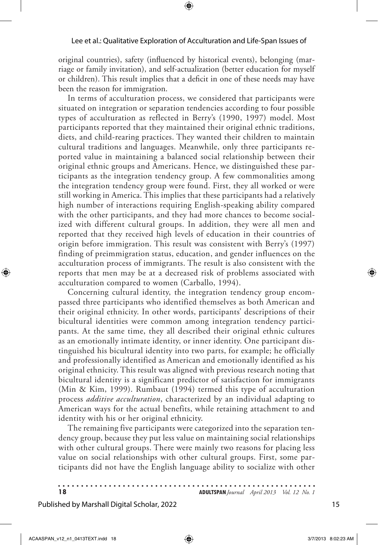original countries), safety (influenced by historical events), belonging (marriage or family invitation), and self-actualization (better education for myself or children). This result implies that a deficit in one of these needs may have been the reason for immigration.

In terms of acculturation process, we considered that participants were situated on integration or separation tendencies according to four possible types of acculturation as reflected in Berry's (1990, 1997) model. Most participants reported that they maintained their original ethnic traditions, diets, and child-rearing practices. They wanted their children to maintain cultural traditions and languages. Meanwhile, only three participants reported value in maintaining a balanced social relationship between their original ethnic groups and Americans. Hence, we distinguished these participants as the integration tendency group. A few commonalities among the integration tendency group were found. First, they all worked or were still working in America. This implies that these participants had a relatively high number of interactions requiring English-speaking ability compared with the other participants, and they had more chances to become socialized with different cultural groups. In addition, they were all men and reported that they received high levels of education in their countries of origin before immigration. This result was consistent with Berry's (1997) finding of preimmigration status, education, and gender influences on the acculturation process of immigrants. The result is also consistent with the reports that men may be at a decreased risk of problems associated with acculturation compared to women (Carballo, 1994).

Concerning cultural identity, the integration tendency group encompassed three participants who identified themselves as both American and their original ethnicity. In other words, participants' descriptions of their bicultural identities were common among integration tendency participants. At the same time, they all described their original ethnic cultures as an emotionally intimate identity, or inner identity. One participant distinguished his bicultural identity into two parts, for example; he officially and professionally identified as American and emotionally identified as his original ethnicity. This result was aligned with previous research noting that bicultural identity is a significant predictor of satisfaction for immigrants (Min & Kim, 1999). Rumbaut (1994) termed this type of acculturation process *additive acculturation*, characterized by an individual adapting to American ways for the actual benefits, while retaining attachment to and identity with his or her original ethnicity.

The remaining five participants were categorized into the separation tendency group, because they put less value on maintaining social relationships with other cultural groups. There were mainly two reasons for placing less value on social relationships with other cultural groups. First, some participants did not have the English language ability to socialize with other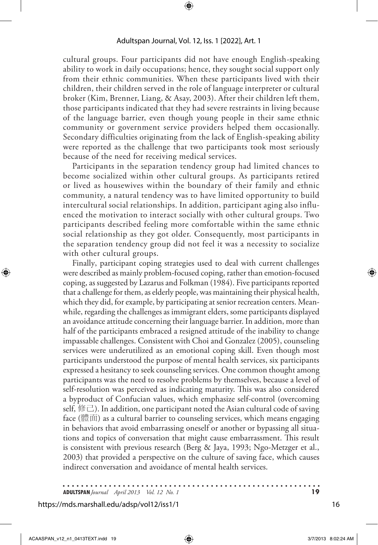cultural groups. Four participants did not have enough English-speaking ability to work in daily occupations; hence, they sought social support only from their ethnic communities. When these participants lived with their children, their children served in the role of language interpreter or cultural broker (Kim, Brenner, Liang, & Asay, 2003). After their children left them, those participants indicated that they had severe restraints in living because of the language barrier, even though young people in their same ethnic community or government service providers helped them occasionally. Secondary difficulties originating from the lack of English-speaking ability were reported as the challenge that two participants took most seriously because of the need for receiving medical services.

Participants in the separation tendency group had limited chances to become socialized within other cultural groups. As participants retired or lived as housewives within the boundary of their family and ethnic community, a natural tendency was to have limited opportunity to build intercultural social relationships. In addition, participant aging also influenced the motivation to interact socially with other cultural groups. Two participants described feeling more comfortable within the same ethnic social relationship as they got older. Consequently, most participants in the separation tendency group did not feel it was a necessity to socialize with other cultural groups.

Finally, participant coping strategies used to deal with current challenges were described as mainly problem-focused coping, rather than emotion-focused coping, as suggested by Lazarus and Folkman (1984). Five participants reported that a challenge for them, as elderly people, was maintaining their physical health, which they did, for example, by participating at senior recreation centers. Meanwhile, regarding the challenges as immigrant elders, some participants displayed an avoidance attitude concerning their language barrier. In addition, more than half of the participants embraced a resigned attitude of the inability to change impassable challenges. Consistent with Choi and Gonzalez (2005), counseling services were underutilized as an emotional coping skill. Even though most participants understood the purpose of mental health services, six participants expressed a hesitancy to seek counseling services. One common thought among participants was the need to resolve problems by themselves, because a level of self-resolution was perceived as indicating maturity. This was also considered a byproduct of Confucian values, which emphasize self-control (overcoming self,  $(\& \,\equiv)$ . In addition, one participant noted the Asian cultural code of saving face (體面) as a cultural barrier to counseling services, which means engaging in behaviors that avoid embarrassing oneself or another or bypassing all situations and topics of conversation that might cause embarrassment. This result is consistent with previous research (Berg & Jaya, 1993; Ngo-Metzger et al., 2003) that provided a perspective on the culture of saving face, which causes indirect conversation and avoidance of mental health services.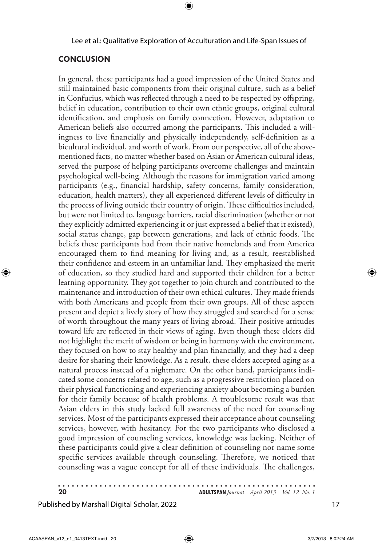# **Conclusion**

In general, these participants had a good impression of the United States and still maintained basic components from their original culture, such as a belief in Confucius, which was reflected through a need to be respected by offspring, belief in education, contribution to their own ethnic groups, original cultural identification, and emphasis on family connection. However, adaptation to American beliefs also occurred among the participants. This included a willingness to live financially and physically independently, self-definition as a bicultural individual, and worth of work. From our perspective, all of the abovementioned facts, no matter whether based on Asian or American cultural ideas, served the purpose of helping participants overcome challenges and maintain psychological well-being. Although the reasons for immigration varied among participants (e.g., financial hardship, safety concerns, family consideration, education, health matters), they all experienced different levels of difficulty in the process of living outside their country of origin. These difficulties included, but were not limited to, language barriers, racial discrimination (whether or not they explicitly admitted experiencing it or just expressed a belief that it existed), social status change, gap between generations, and lack of ethnic foods. The beliefs these participants had from their native homelands and from America encouraged them to find meaning for living and, as a result, reestablished their confidence and esteem in an unfamiliar land. They emphasized the merit of education, so they studied hard and supported their children for a better learning opportunity. They got together to join church and contributed to the maintenance and introduction of their own ethical cultures. They made friends with both Americans and people from their own groups. All of these aspects present and depict a lively story of how they struggled and searched for a sense of worth throughout the many years of living abroad. Their positive attitudes toward life are reflected in their views of aging. Even though these elders did not highlight the merit of wisdom or being in harmony with the environment, they focused on how to stay healthy and plan financially, and they had a deep desire for sharing their knowledge. As a result, these elders accepted aging as a natural process instead of a nightmare. On the other hand, participants indicated some concerns related to age, such as a progressive restriction placed on their physical functioning and experiencing anxiety about becoming a burden for their family because of health problems. A troublesome result was that Asian elders in this study lacked full awareness of the need for counseling services. Most of the participants expressed their acceptance about counseling services, however, with hesitancy. For the two participants who disclosed a good impression of counseling services, knowledge was lacking. Neither of these participants could give a clear definition of counseling nor name some specific services available through counseling. Therefore, we noticed that counseling was a vague concept for all of these individuals. The challenges,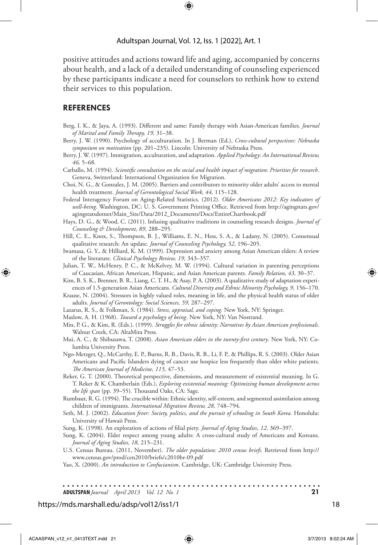#### Adultspan Journal, Vol. 12, Iss. 1 [2022], Art. 1

positive attitudes and actions toward life and aging, accompanied by concerns about health, and a lack of a detailed understanding of counseling experienced by these participants indicate a need for counselors to rethink how to extend their services to this population.

#### **References**

- Berg, I. K., & Jaya, A. (1993). Different and same: Family therapy with Asian-American families. *Journal of Marital and Family Therapy, 19,* 31–38.
- Berry, J. W. (1990). Psychology of acculturation. In J. Berman (Ed.), *Cross-cultural perspectives: Nebraska symposium on motivation* (pp. 201–235). Lincoln: University of Nebraska Press.
- Berry, J. W. (1997). Immigration, acculturation, and adaptation. *Applied Psychology: An International Review, 46,* 5–68.
- Carballo, M. (1994). *Scientific consultation on the social and health impact of migration: Priorities for research*. Geneva, Switzerland: International Organization for Migration.
- Choi, N. G., & Gonzalez, J. M. (2005). Barriers and contributors to minority older adults' access to mental health treatment. *Journal of Gerontological Social Work, 44,* 115–128.
- Federal Interagency Forum on Aging-Related Statistics. (2012). *Older Americans 2012: Key indicators of well-being*. Washington, DC: U. S. Government Printing Office. Retrieved from http://agingstats.gov/ agingstatsdotnet/Main\_Site/Data/2012\_Documents/Docs/EntireChartbook.pdf
- Hays, D. G., & Wood, C. (2011). Infusing qualitative traditions in counseling research designs. *Journal of Counseling & Development, 89,* 288–295.
- Hill, C. E., Knox, S., Thompson, B. J., Williams, E. N., Hess, S. A., & Ladany, N. (2005). Consensual qualitative research: An update. *Journal of Counseling Psychology, 52,* 196–205.
- Iwamasa, G. Y., & Hilliard, K. M. (1999). Depression and anxiety among Asian American elders: A review of the literature. *Clinical Psychology Review, 19,* 343–357.
- Julian, T. W., McHenry, P. C., & McKelvey, M. W. (1994). Cultural variation in parenting perceptions of Caucasian, African American, Hispanic, and Asian American parents. *Family Relation, 43,* 30–37.
- Kim, B. S. K., Brenner, B. R., Liang, C. T. H., & Asay, P. A. (2003). A qualitative study of adaptation experiences of 1.5-generation Asian Americans. *Cultural Diversity and Ethnic Minority Psychology, 9,* 156–170.
- Krause, N. (2004). Stressors in highly valued roles, meaning in life, and the physical health status of older adults. *Journal of Gerontology: Social Sciences, 59,* 287–297.

Lazarus, R. S., & Folkman, S. (1984). *Stress, appraisal, and coping.* New York, NY: Springer.

- Maslow, A. H. (1968). *Toward a psychology of being*. New York, NY: Van Nostrand.
- Min, P. G., & Kim, R. (Eds.). (1999). *Struggles for ethnic identity: Narratives by Asian American professionals*. Walnut Creek, CA: AltaMira Press.
- Mui, A. C., & Shibusawa, T. (2008). *Asian American elders in the twenty-first century*. New York, NY: Columbia University Press.
- Ngo-Metzger, Q., McCarthy, E. P., Burns, R. B., Davis, R. B., Li, F. P., & Phillips, R. S. (2003). Older Asian Americans and Pacific Islanders dying of cancer use hospice less frequently than older white patients. *The American Journal of Medicine, 115,* 47–53.
- Reker, G. T. (2000). Theoretical perspective, dimensions, and measurement of existential meaning. In G. T. Reker & K. Chamberlain (Eds.), *Exploring existential meaning: Optimizing human development across the life span* (pp. 39–55)*.* Thousand Oaks, CA: Sage.
- Rumbaut, R. G. (1994). The crucible within: Ethnic identity, self-esteem, and segmented assimilation among children of immigrants. *International Migration Review, 28,* 748–794.
- Seth, M. J. (2002). *Education fever: Society, politics, and the pursuit of schooling in South Korea.* Honolulu: University of Hawaii Press.
- Sung, K. (1998). An exploration of actions of filial piety. *Journal of Aging Studies, 12,* 369–397.
- Sung, K. (2004). Elder respect among young adults: A cross-cultural study of Americans and Koreans. *Journal of Aging Studies, 18,* 215–231.
- U.S. Census Bureau. (2011, November). *The older population: 2010 census briefs.* Retrieved from http:// www.census.gov/prod/cen2010/briefs/c2010br-09.pdf
- Yao, X. (2000). *An introduction to Confucianism*. Cambridge, UK: Cambridge University Press.

. . . . . . . . . . . . . . . **ADULTSPAN***Journal April 2013 Vol. 12 No. 1* **21**

#### https://mds.marshall.edu/adsp/vol12/iss1/1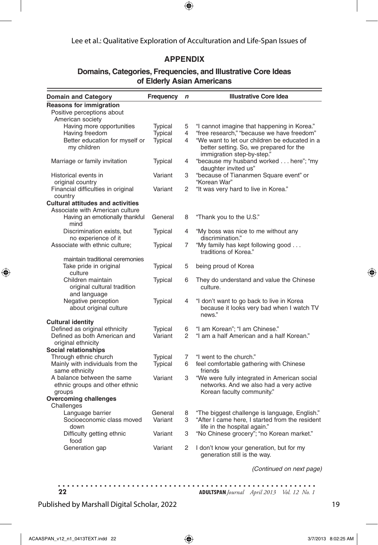# **Appendix**

| <b>Domain and Category</b>                                   | Frequency      | n              | <b>Illustrative Core Idea</b>                                                                    |
|--------------------------------------------------------------|----------------|----------------|--------------------------------------------------------------------------------------------------|
| <b>Reasons for immigration</b><br>Positive perceptions about |                |                |                                                                                                  |
| American society                                             |                |                |                                                                                                  |
| Having more opportunities                                    | Typical        | 5              | "I cannot imagine that happening in Korea."                                                      |
| Having freedom                                               | Typical        | 4              | "free research," "because we have freedom"                                                       |
| Better education for myself or                               | Typical        | 4              | "We want to let our children be educated in a                                                    |
| my children                                                  |                |                | better setting. So, we prepared for the<br>immigration step-by-step."                            |
| Marriage or family invitation                                | Typical        | 4              | "because my husband worked here"; "my<br>daughter invited us"                                    |
| Historical events in                                         | Variant        | 3              | "because of Tiananmen Square event" or                                                           |
| original country<br>Financial difficulties in original       | Variant        | 2              | "Korean War"<br>"It was very hard to live in Korea."                                             |
| country                                                      |                |                |                                                                                                  |
| <b>Cultural attitudes and activities</b>                     |                |                |                                                                                                  |
| Associate with American culture                              |                |                |                                                                                                  |
| Having an emotionally thankful<br>mind                       | General        | 8              | "Thank you to the U.S."                                                                          |
| Discrimination exists, but<br>no experience of it            | <b>Typical</b> | 4              | "My boss was nice to me without any<br>discrimination."                                          |
| Associate with ethnic culture;                               | <b>Typical</b> | 7              | "My family has kept following good                                                               |
|                                                              |                |                | traditions of Korea."                                                                            |
| maintain traditional ceremonies                              |                |                |                                                                                                  |
| Take pride in original<br>culture                            | <b>Typical</b> | 5              | being proud of Korea                                                                             |
| Children maintain<br>original cultural tradition             | <b>Typical</b> | 6              | They do understand and value the Chinese<br>culture.                                             |
| and language                                                 |                |                |                                                                                                  |
| Negative perception<br>about original culture                | <b>Typical</b> | 4              | "I don't want to go back to live in Korea<br>because it looks very bad when I watch TV<br>news." |
| <b>Cultural identity</b>                                     |                |                |                                                                                                  |
| Defined as original ethnicity                                | Typical        | 6              | "I am Korean"; "I am Chinese."                                                                   |
| Defined as both American and                                 | Variant        | $\overline{c}$ | "I am a half American and a half Korean."                                                        |
| original ethnicity<br>Social relationships                   |                |                |                                                                                                  |
| Through ethnic church                                        | Typical        | 7              | "I went to the church."                                                                          |
| Mainly with individuals from the                             | Typical        | 6              | feel comfortable gathering with Chinese                                                          |
| same ethnicity                                               |                |                | friends                                                                                          |
| A balance between the same<br>ethnic groups and other ethnic | Variant        | 3              | "We were fully integrated in American social<br>networks. And we also had a very active          |
| groups                                                       |                |                | Korean faculty community."                                                                       |
| <b>Overcoming challenges</b><br>Challenges                   |                |                |                                                                                                  |
| Language barrier                                             | General        | 8              | "The biggest challenge is language, English."                                                    |
| Socioeconomic class moved                                    | Variant        | 3              | "After I came here, I started from the resident                                                  |
| down                                                         |                |                | life in the hospital again."                                                                     |
| Difficulty getting ethnic                                    | Variant        | 3              | "No Chinese grocery"; "no Korean market."                                                        |
| food<br>Generation gap                                       | Variant        | $\overline{2}$ | I don't know your generation, but for my<br>generation still is the way.                         |

## **Domains, Categories, Frequencies, and Illustrative Core Ideas of Elderly Asian Americans**

*(Continued on next page)*

 $\bullet$  ,  $\bullet$  ,  $\bullet$  . . . . . . **22 ADULTSPAN***Journal April 2013 Vol. 12 No. 1*